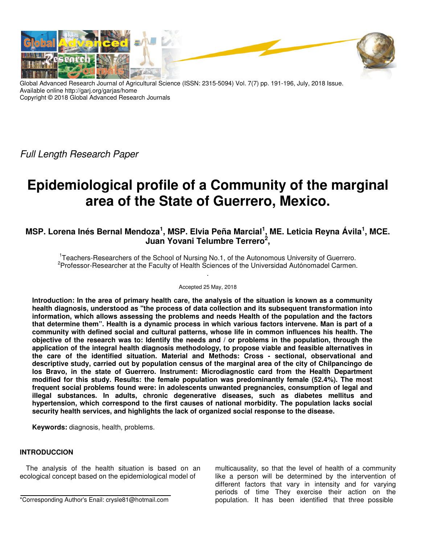

Global Advanced Research Journal of Agricultural Science (ISSN: 2315-5094) Vol. 7(7) pp. 191-196, July, 2018 Issue. Available online http://garj.org/garjas/home Copyright © 2018 Global Advanced Research Journals

Full Length Research Paper

# **Epidemiological profile of a Community of the marginal area of the State of Guerrero, Mexico.**

## **MSP. Lorena Inés Bernal Mendoza<sup>1</sup> , MSP. Elvia Peña Marcial<sup>1</sup> , ME. Leticia Reyna Ávila<sup>1</sup> , MCE. Juan Yovani Telumbre Terrero<sup>2</sup> ,**

<sup>1</sup> Teachers-Researchers of the School of Nursing No.1, of the Autonomous University of Guerrero. <sup>2</sup> Professor-Researcher at the Faculty of Health Sciences of the Universidad Autónomadel Carmen. .

#### Accepted 25 May, 2018

**Introduction: In the area of primary health care, the analysis of the situation is known as a community health diagnosis, understood as "the process of data collection and its subsequent transformation into information, which allows assessing the problems and needs Health of the population and the factors that determine them". Health is a dynamic process in which various factors intervene. Man is part of a community with defined social and cultural patterns, whose life in common influences his health. The objective of the research was to: Identify the needs and / or problems in the population, through the application of the integral health diagnosis methodology, to propose viable and feasible alternatives in the care of the identified situation. Material and Methods: Cross - sectional, observational and descriptive study, carried out by population census of the marginal area of the city of Chilpancingo de los Bravo, in the state of Guerrero. Instrument: Microdiagnostic card from the Health Department modified for this study. Results: the female population was predominantly female (52.4%). The most frequent social problems found were: in adolescents unwanted pregnancies, consumption of legal and illegal substances. In adults, chronic degenerative diseases, such as diabetes mellitus and hypertension, which correspond to the first causes of national morbidity. The population lacks social security health services, and highlights the lack of organized social response to the disease.** 

**Keywords:** diagnosis, health, problems.

## **INTRODUCCION**

The analysis of the health situation is based on an ecological concept based on the epidemiological model of

multicausality, so that the level of health of a community like a person will be determined by the intervention of different factors that vary in intensity and for varying periods of time They exercise their action on the population. It has been identified that three possible

<sup>\*</sup>Corresponding Author's Enail: crysle81@hotmail.com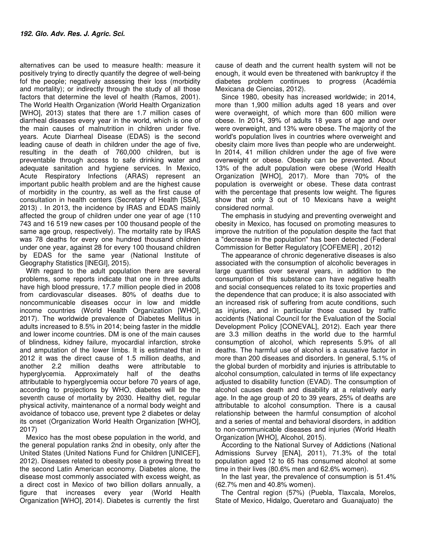alternatives can be used to measure health: measure it positively trying to directly quantify the degree of well-being fof the people; negatively assessing their loss (morbidity and mortality); or indirectly through the study of all those factors that determine the level of health (Ramos, 2001). The World Health Organization (World Health Organization [WHO], 2013) states that there are 1.7 million cases of diarrheal diseases every year in the world, which is one of the main causes of malnutrition in children under five. years. Acute Diarrheal Disease (EDAS) is the second leading cause of death in children under the age of five, resulting in the death of 760,000 children, but is preventable through access to safe drinking water and adequate sanitation and hygiene services. In Mexico, Acute Respiratory Infections (ARAS) represent an important public health problem and are the highest cause of morbidity in the country, as well as the first cause of consultation in health centers (Secretary of Health [SSA], 2013) . In 2013, the incidence by IRAS and EDAS mainly affected the group of children under one year of age (110 743 and 16 519 new cases per 100 thousand people of the same age group, respectively). The mortality rate by IRAS was 78 deaths for every one hundred thousand children under one year, against 28 for every 100 thousand children by EDAS for the same year (National Institute of Geography Statistics [INEGI], 2015).

With regard to the adult population there are several problems, some reports indicate that one in three adults have high blood pressure, 17.7 million people died in 2008 from cardiovascular diseases. 80% of deaths due to noncommunicable diseases occur in low and middle income countries (World Health Organization [WHO], 2017). The worldwide prevalence of Diabetes Mellitus in adults increased to 8.5% in 2014; being faster in the middle and lower income countries. DM is one of the main causes of blindness, kidney failure, myocardial infarction, stroke and amputation of the lower limbs. It is estimated that in 2012 it was the direct cause of 1.5 million deaths, and another 2.2 million deaths were attributable to hyperglycemia. Approximately half of the deaths attributable to hyperglycemia occur before 70 years of age, according to projections by WHO, diabetes will be the seventh cause of mortality by 2030. Healthy diet, regular physical activity, maintenance of a normal body weight and avoidance of tobacco use, prevent type 2 diabetes or delay its onset (Organization World Health Organization [WHO], 2017)

Mexico has the most obese population in the world, and the general population ranks 2nd in obesity, only after the United States (United Nations Fund for Children [UNICEF], 2012). Diseases related to obesity pose a growing threat to the second Latin American economy. Diabetes alone, the disease most commonly associated with excess weight, as a direct cost in Mexico of two billion dollars annually, a figure that increases every year (World Health Organization [WHO], 2014). Diabetes is currently the first

cause of death and the current health system will not be enough, it would even be threatened with bankruptcy if the diabetes problem continues to progress (Académia Mexicana de Ciencias, 2012).

Since 1980, obesity has increased worldwide; in 2014, more than 1,900 million adults aged 18 years and over were overweight, of which more than 600 million were obese. In 2014, 39% of adults 18 years of age and over were overweight, and 13% were obese. The majority of the world's population lives in countries where overweight and obesity claim more lives than people who are underweight. In 2014, 41 million children under the age of five were overweight or obese. Obesity can be prevented. About 13% of the adult population were obese (World Health Organization [WHO], 2017). More than 70% of the population is overweight or obese. These data contrast with the percentage that presents low weight. The figures show that only 3 out of 10 Mexicans have a weight considered normal.

The emphasis in studying and preventing overweight and obesity in Mexico, has focused on promoting measures to improve the nutrition of the population despite the fact that a "decrease in the population" has been detected (Federal Commission for Better Regulatory [COFEMER] , 2012)

The appearance of chronic degenerative diseases is also associated with the consumption of alcoholic beverages in large quantities over several years, in addition to the consumption of this substance can have negative health and social consequences related to its toxic properties and the dependence that can produce; it is also associated with an increased risk of suffering from acute conditions, such as injuries, and in particular those caused by traffic accidents (National Council for the Evaluation of the Social Development Policy [CONEVAL], 2012). Each year there are 3.3 million deaths in the world due to the harmful consumption of alcohol, which represents 5.9% of all deaths. The harmful use of alcohol is a causative factor in more than 200 diseases and disorders. In general, 5.1% of the global burden of morbidity and injuries is attributable to alcohol consumption, calculated in terms of life expectancy adjusted to disability function (EVAD). The consumption of alcohol causes death and disability at a relatively early age. In the age group of 20 to 39 years, 25% of deaths are attributable to alcohol consumption. There is a causal relationship between the harmful consumption of alcohol and a series of mental and behavioral disorders, in addition to non-communicable diseases and injuries (World Health Organization [WHO], Alcohol, 2015).

According to the National Survey of Addictions (National Admissions Survey [ENA], 2011), 71.3% of the total population aged 12 to 65 has consumed alcohol at some time in their lives (80.6% men and 62.6% women).

In the last year, the prevalence of consumption is 51.4% (62.7% men and 40.8% women).

The Central region (57%) (Puebla, Tlaxcala, Morelos, State of Mexico, Hidalgo, Queretaro and Guanajuato) the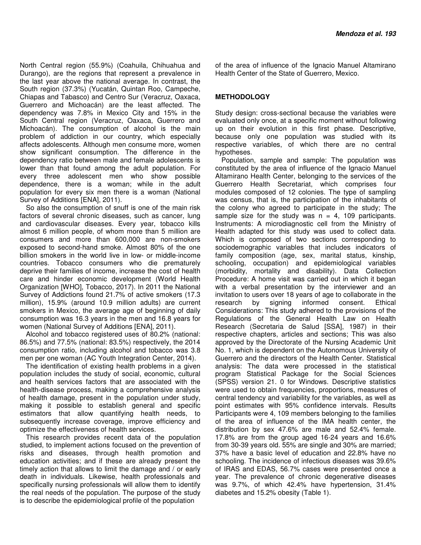North Central region (55.9%) (Coahuila, Chihuahua and Durango), are the regions that represent a prevalence in the last year above the national average. In contrast, the South region (37.3%) (Yucatán, Quintan Roo, Campeche, Chiapas and Tabasco) and Centro Sur (Veracruz, Oaxaca, Guerrero and Michoacán) are the least affected. The dependency was 7.8% in Mexico City and 15% in the South Central region (Veracruz, Oaxaca, Guerrero and Michoacán). The consumption of alcohol is the main problem of addiction in our country, which especially affects adolescents. Although men consume more, women show significant consumption. The difference in the dependency ratio between male and female adolescents is lower than that found among the adult population. For every three adolescent men who show possible dependence, there is a woman; while in the adult population for every six men there is a woman (National Survey of Additions [ENA], 2011).

So also the consumption of snuff is one of the main risk factors of several chronic diseases, such as cancer, lung and cardiovascular diseases. Every year, tobacco kills almost 6 million people, of whom more than 5 million are consumers and more than 600,000 are non-smokers exposed to second-hand smoke. Almost 80% of the one billion smokers in the world live in low- or middle-income countries. Tobacco consumers who die prematurely deprive their families of income, increase the cost of health care and hinder economic development (World Health Organization [WHO], Tobacco, 2017). In 2011 the National Survey of Addictions found 21.7% of active smokers (17.3 million), 15.9% (around 10.9 million adults) are current smokers in Mexico, the average age of beginning of daily consumption was 16.3 years in the men and 16.8 years for women (National Survey of Additions [ENA], 2011).

Alcohol and tobacco registered uses of 80.2% (national: 86.5%) and 77.5% (national: 83.5%) respectively, the 2014 consumption ratio, including alcohol and tobacco was 3.8 men per one woman (AC Youth Integration Center, 2014).

The identification of existing health problems in a given population includes the study of social, economic, cultural and health services factors that are associated with the health-disease process, making a comprehensive analysis of health damage, present in the population under study, making it possible to establish general and specific estimators that allow quantifying health needs, to subsequently increase coverage, improve efficiency and optimize the effectiveness of health services.

This research provides recent data of the population studied, to implement actions focused on the prevention of risks and diseases, through health promotion and education activities; and if these are already present the timely action that allows to limit the damage and / or early death in individuals. Likewise, health professionals and specifically nursing professionals will allow them to identify the real needs of the population. The purpose of the study is to describe the epidemiological profile of the population

of the area of influence of the Ignacio Manuel Altamirano Health Center of the State of Guerrero, Mexico.

## **METHODOLOGY**

Study design: cross-sectional because the variables were evaluated only once, at a specific moment without following up on their evolution in this first phase. Descriptive, because only one population was studied with its respective variables, of which there are no central hypotheses.

Population, sample and sample: The population was constituted by the area of influence of the Ignacio Manuel Altamirano Health Center, belonging to the services of the Guerrero Health Secretariat, which comprises four modules composed of 12 colonies. The type of sampling was census, that is, the participation of the inhabitants of the colony who agreed to participate in the study; The sample size for the study was  $n = 4$ , 109 participants. Instruments: A microdiagnostic cell from the Ministry of Health adapted for this study was used to collect data. Which is composed of two sections corresponding to sociodemographic variables that includes indicators of family composition (age, sex, marital status, kinship, schooling, occupation) and epidemiological variables (morbidity, mortality and disability). Data Collection Procedure: A home visit was carried out in which it began with a verbal presentation by the interviewer and an invitation to users over 18 years of age to collaborate in the research by signing informed consent. Ethical Considerations: This study adhered to the provisions of the Regulations of the General Health Law on Health Research (Secretaria de Salud [SSA], 1987) in their respective chapters, articles and sections; This was also approved by the Directorate of the Nursing Academic Unit No. 1, which is dependent on the Autonomous University of Guerrero and the directors of the Health Center. Statistical analysis: The data were processed in the statistical program Statistical Package for the Social Sciences (SPSS) version 21. 0 for Windows. Descriptive statistics were used to obtain frequencies, proportions, measures of central tendency and variability for the variables, as well as point estimates with 95% confidence intervals. Results Participants were 4, 109 members belonging to the families of the area of influence of the IMA health center, the distribution by sex 47.6% are male and 52.4% female. 17.8% are from the group aged 16-24 years and 16.6% from 30-39 years old. 55% are single and 30% are married; 37% have a basic level of education and 22.8% have no schooling. The incidence of infectious diseases was 39.6% of IRAS and EDAS, 56.7% cases were presented once a year. The prevalence of chronic degenerative diseases was 9.7%, of which 42.4% have hypertension, 31.4% diabetes and 15.2% obesity (Table 1).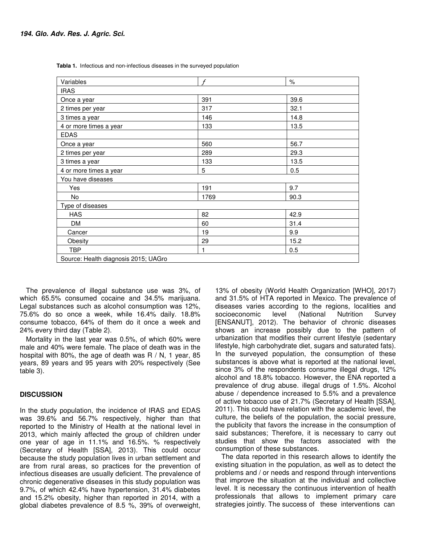| Variables                            | $\mathcal{F}$ | $\%$ |  |  |
|--------------------------------------|---------------|------|--|--|
| <b>IRAS</b>                          |               |      |  |  |
| Once a year                          | 391           | 39.6 |  |  |
| 2 times per year                     | 317           | 32.1 |  |  |
| 3 times a year                       | 146           | 14.8 |  |  |
| 4 or more times a year               | 133           | 13.5 |  |  |
| <b>EDAS</b>                          |               |      |  |  |
| Once a year                          | 560           | 56.7 |  |  |
| 2 times per year                     | 289           | 29.3 |  |  |
| 3 times a year                       | 133           | 13.5 |  |  |
| 4 or more times a year               | 5             | 0.5  |  |  |
| You have diseases                    |               |      |  |  |
| Yes                                  | 191           | 9.7  |  |  |
| No                                   | 1769          | 90.3 |  |  |
| Type of diseases                     |               |      |  |  |
| <b>HAS</b>                           | 82            | 42.9 |  |  |
| <b>DM</b>                            | 60            | 31.4 |  |  |
| Cancer                               | 19            | 9.9  |  |  |
| Obesity                              | 29            | 15.2 |  |  |
| <b>TBP</b>                           | 1             | 0.5  |  |  |
| Source: Health diagnosis 2015; UAGro |               |      |  |  |

**Tabla 1.** Infectious and non-infectious diseases in the surveyed population

The prevalence of illegal substance use was 3%, of which 65.5% consumed cocaine and 34.5% marijuana. Legal substances such as alcohol consumption was 12%, 75.6% do so once a week, while 16.4% daily. 18.8% consume tobacco, 64% of them do it once a week and 24% every third day (Table 2).

Mortality in the last year was 0.5%, of which 60% were male and 40% were female. The place of death was in the hospital with 80%, the age of death was R / N, 1 year, 85 years, 89 years and 95 years with 20% respectively (See table 3).

## **DISCUSSION**

In the study population, the incidence of IRAS and EDAS was 39.6% and 56.7% respectively, higher than that reported to the Ministry of Health at the national level in 2013, which mainly affected the group of children under one year of age in 11.1% and 16.5%. % respectively (Secretary of Health [SSA], 2013). This could occur because the study population lives in urban settlement and are from rural areas, so practices for the prevention of infectious diseases are usually deficient. The prevalence of chronic degenerative diseases in this study population was 9.7%, of which 42.4% have hypertension, 31.4% diabetes and 15.2% obesity, higher than reported in 2014, with a global diabetes prevalence of 8.5 %, 39% of overweight,

13% of obesity (World Health Organization [WHO], 2017) and 31.5% of HTA reported in Mexico. The prevalence of diseases varies according to the regions, localities and socioeconomic level (National Nutrition Survey [ENSANUT], 2012). The behavior of chronic diseases shows an increase possibly due to the pattern of urbanization that modifies their current lifestyle (sedentary lifestyle, high carbohydrate diet, sugars and saturated fats). In the surveyed population, the consumption of these substances is above what is reported at the national level, since 3% of the respondents consume illegal drugs, 12% alcohol and 18.8% tobacco. However, the ENA reported a prevalence of drug abuse. illegal drugs of 1.5%. Alcohol abuse / dependence increased to 5.5% and a prevalence of active tobacco use of 21.7% (Secretary of Health [SSA], 2011). This could have relation with the academic level, the culture, the beliefs of the population, the social pressure, the publicity that favors the increase in the consumption of said substances; Therefore, it is necessary to carry out studies that show the factors associated with the consumption of these substances.

The data reported in this research allows to identify the existing situation in the population, as well as to detect the problems and / or needs and respond through interventions that improve the situation at the individual and collective level. It is necessary the continuous intervention of health professionals that allows to implement primary care strategies jointly. The success of these interventions can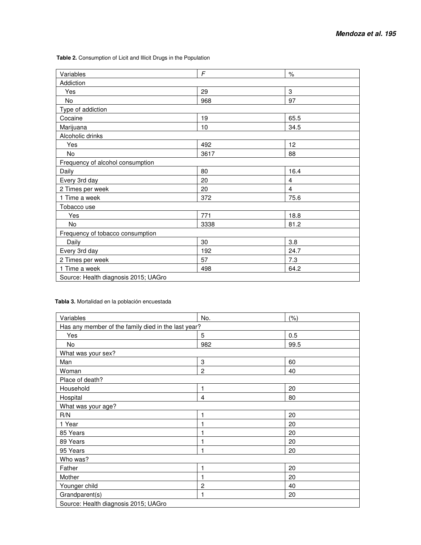**Table 2.** Consumption of Licit and Illicit Drugs in the Population

| Variables                            | F    | $\%$ |  |  |
|--------------------------------------|------|------|--|--|
| Addiction                            |      |      |  |  |
| Yes                                  | 29   | 3    |  |  |
| No                                   | 968  | 97   |  |  |
| Type of addiction                    |      |      |  |  |
| Cocaine                              | 19   | 65.5 |  |  |
| Marijuana                            | 10   | 34.5 |  |  |
| Alcoholic drinks                     |      |      |  |  |
| Yes                                  | 492  | 12   |  |  |
| No                                   | 3617 | 88   |  |  |
| Frequency of alcohol consumption     |      |      |  |  |
| Daily                                | 80   | 16.4 |  |  |
| Every 3rd day                        | 20   | 4    |  |  |
| 2 Times per week                     | 20   | 4    |  |  |
| 1 Time a week                        | 372  | 75.6 |  |  |
| Tobacco use                          |      |      |  |  |
| Yes                                  | 771  | 18.8 |  |  |
| No                                   | 3338 | 81.2 |  |  |
| Frequency of tobacco consumption     |      |      |  |  |
| Daily                                | 30   | 3.8  |  |  |
| Every 3rd day                        | 192  | 24.7 |  |  |
| 2 Times per week                     | 57   | 7.3  |  |  |
| 1 Time a week                        | 498  | 64.2 |  |  |
| Source: Health diagnosis 2015; UAGro |      |      |  |  |

## **Tabla 3.** Mortalidad en la población encuestada

| Variables                                           | No.            | (% ) |  |  |
|-----------------------------------------------------|----------------|------|--|--|
| Has any member of the family died in the last year? |                |      |  |  |
| Yes                                                 | 5              | 0.5  |  |  |
| No                                                  | 982            | 99.5 |  |  |
| What was your sex?                                  |                |      |  |  |
| Man                                                 | 3              | 60   |  |  |
| Woman                                               | $\mathbf{2}$   | 40   |  |  |
| Place of death?                                     |                |      |  |  |
| Household                                           | 1              | 20   |  |  |
| Hospital                                            | 4              | 80   |  |  |
| What was your age?                                  |                |      |  |  |
| R/N                                                 | 1              | 20   |  |  |
| 1 Year                                              | 1              | 20   |  |  |
| 85 Years                                            | 1              | 20   |  |  |
| 89 Years                                            | 1              | 20   |  |  |
| 95 Years                                            | 1              | 20   |  |  |
| Who was?                                            |                |      |  |  |
| Father                                              | 1              | 20   |  |  |
| Mother                                              | 1              | 20   |  |  |
| Younger child                                       | $\overline{c}$ | 40   |  |  |
| Grandparent(s)                                      | 1              | 20   |  |  |
| Source: Health diagnosis 2015; UAGro                |                |      |  |  |